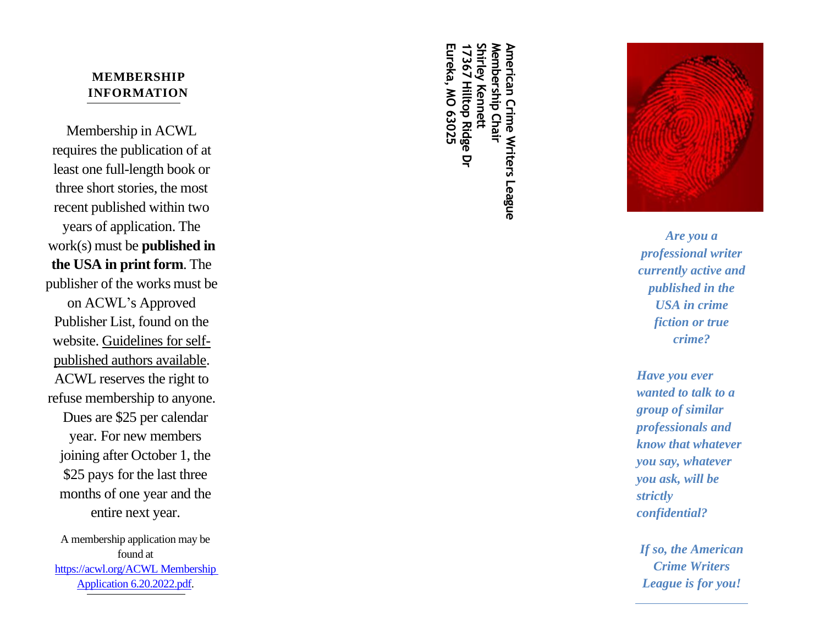## **MEMBERSHIP INFORMATION**

M embershi p i n ACWL requires the publication of at lea s t on e full -length boo k or three short stories, the most recen t publishe d withi n two year s o f ap plication . T h e work(s ) mus t b e **publishe d in**  the USA in print form. The publishe r o f th e work s mus t be o n A CWL' s App rove d Publisher List, found on the website. Guidelines for selfpublished authors available. ACWL reserves the right to refuse membership to anyone. Dues are \$25 per calendar year. For new members joining after October 1, the \$25 pays for the last three months of one year and the entire next year.

A memb er s hi p application may b e foun d a[t](https://acwl.org/ACWL%20Membership%20Application%206.20.2022.pdf) [https://acwl.org/ACWL Membership](https://acwl.org/ACWL%20Membership%20Application%206.20.2022.pdf)  [Application 6.20.2022.pdf](https://acwl.org/ACWL%20Membership%20Application%206.20.2022.pdf) .

**American Crime Writers League Membership Chair Shirley Kennett 17367 Hilltop Ridge Dr Eureka, MO 63025**



*Are you a professional writer currently active and published in the USA in crime fiction or true crime?*

*Have you ever wanted to talk to a group of similar professionals and know that whatever you say, whatever you ask, will be strictly confidential?*

*If so, the American Crime Writers League is for you !*